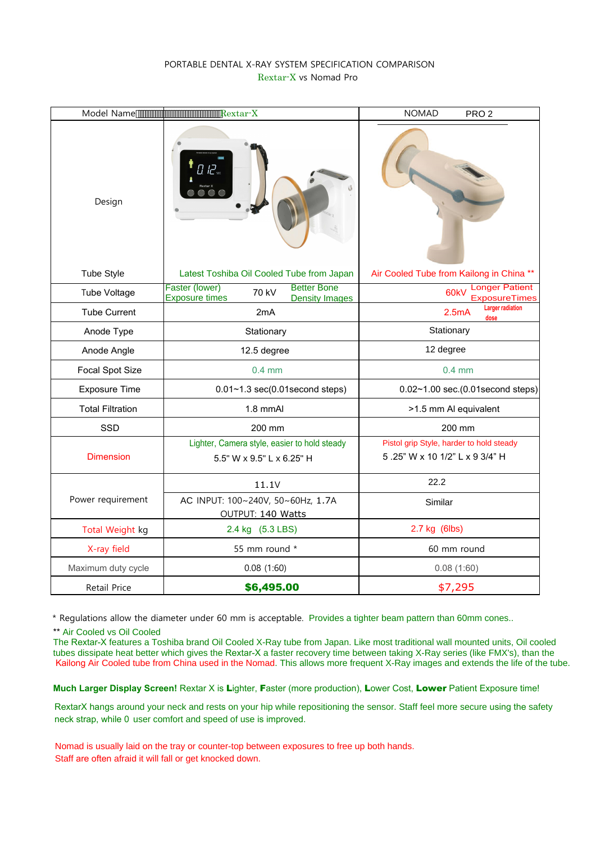## PORTABLE DENTAL X-RAY SYSTEM SPECIFICATION COMPARISON Rextar-X vs Nomad Pro

|                         | Rextar-X                                                                                        | <b>NOMAD</b><br>PRO <sub>2</sub>                                           |
|-------------------------|-------------------------------------------------------------------------------------------------|----------------------------------------------------------------------------|
| Design                  |                                                                                                 |                                                                            |
| Tube Style              | Latest Toshiba Oil Cooled Tube from Japan                                                       | Air Cooled Tube from Kailong in China **                                   |
| <b>Tube Voltage</b>     | Faster (lower)<br><b>Better Bone</b><br>70 kV<br><b>Exposure times</b><br><b>Density Images</b> | <b>Longer Patient</b><br>60 <sub>k</sub> V<br><b>ExposureTimes</b>         |
| <b>Tube Current</b>     | 2mA                                                                                             | <b>Larger radiation</b><br>2.5mA<br>dose                                   |
| Anode Type              | Stationary                                                                                      | Stationary                                                                 |
| Anode Angle             | 12.5 degree                                                                                     | 12 degree                                                                  |
| Focal Spot Size         | $0.4$ mm                                                                                        | $0.4$ mm                                                                   |
| <b>Exposure Time</b>    | $0.01 - 1.3$ sec $(0.01$ second steps)                                                          | $0.02 - 1.00$ sec. $(0.01$ second steps)                                   |
| <b>Total Filtration</b> | 1.8 mmAl                                                                                        | >1.5 mm Al equivalent                                                      |
| <b>SSD</b>              | 200 mm                                                                                          | 200 mm                                                                     |
| <b>Dimension</b>        | Lighter, Camera style, easier to hold steady<br>5.5" W x 9.5" L x 6.25" H                       | Pistol grip Style, harder to hold steady<br>5.25" W x 10 1/2" L x 9 3/4" H |
|                         | 11.1V                                                                                           | 22.2                                                                       |
| Power requirement       | AC INPUT: 100~240V, 50~60Hz, 1.7A<br>OUTPUT: 140 Watts                                          | Similar                                                                    |
| Total Weight kg         | 2.4 kg (5.3 LBS)                                                                                | 2.7 kg (6lbs)                                                              |
| X-ray field             | 55 mm round *                                                                                   | 60 mm round                                                                |
| Maximum duty cycle      | 0.08(1:60)                                                                                      | 0.08(1:60)                                                                 |
| Retail Price            | \$6,495.00                                                                                      | \$7,295                                                                    |

\* Regulations allow the diameter under 60 mm is acceptable. Provides a tighter beam pattern than 60mm cones..

\*\* Air Cooled vs Oil Cooled

The Rextar-X features a Toshiba brand Oil Cooled X-Ray tube from Japan. Like most traditional wall mounted units, Oil cooled tubes dissipate heat better which gives the Rextar-X a faster recovery time between taking X-Ray series (like FMX's), than the Kailong Air Cooled tube from China used in the Nomad. This allows more frequent X-Ray images and extends the life of the tube.

**Much Larger Display Screen!** Rextar X is Lighter, Faster (more production), Lower Cost, Lower Patient Exposure time!

RextarX hangs around your neck and rests on your hip while repositioning the sensor. Staff feel more secure using the safety neck strap, while 0 user comfort and speed of use is improved.

Nomad is usually laid on the tray or counter-top between exposures to free up both hands. Staff are often afraid it will fall or get knocked down.